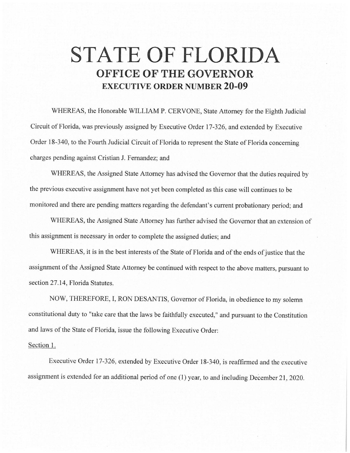## **STATE OF FLORIDA OFFICE OF THE GOVERNOR EXECUTIVE ORDER NUMBER 20-09**

WHEREAS, the Honorable WILLIAM P. CERVONE, State Attorney for the Eighth Judicial Circuit of Florida, was previously assigned by Executive Order 17-326, and extended by Executive Order 18-340, to the Fourth Judicial Circuit of Florida to represent the State of Florida concerning charges pending against Cristian J. Fernandez; and

WHEREAS, the Assigned State Attorney has advised the Governor that the duties required by the previous executive assignment have not yet been completed as this case will continues to be monitored and there are pending matters regarding the defendant's current probationary period; and

WHEREAS, the Assigned State Attorney has further advised the Governor that an extension of this assignment is necessary in order to complete the assigned duties; and

WHEREAS, it is in the best interests of the State of Florida and of the ends of justice that the assignment of the Assigned State Attorney be continued with respect to the above matters, pursuant to section 27.14, Florida Statutes.

NOW, THEREFORE, I, RON DESANTIS, Governor of Florida, in obedience to my solemn constitutional duty to "take care that the laws be faithfully executed," and pursuant to the Constitution and laws of the State of Florida, issue the following Executive Order:

## Section 1.

Executive Order 17-326, extended by Executive Order 18-340, is reaffirmed and the executive assignment is extended for an additional period of one (1) year, to and including December 21, 2020.